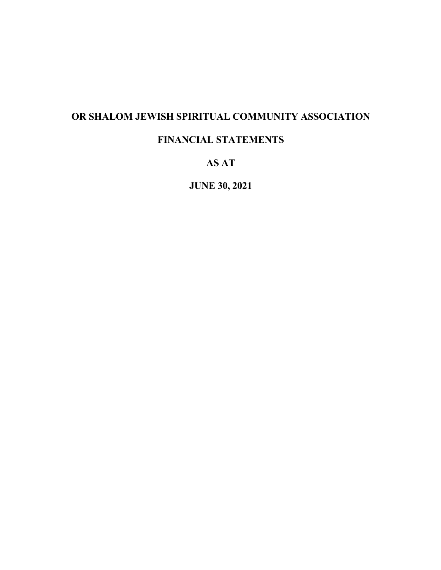## **OR SHALOM JEWISH SPIRITUAL COMMUNITY ASSOCIATION**

## **FINANCIAL STATEMENTS**

## **AS AT**

**JUNE 30, 2021**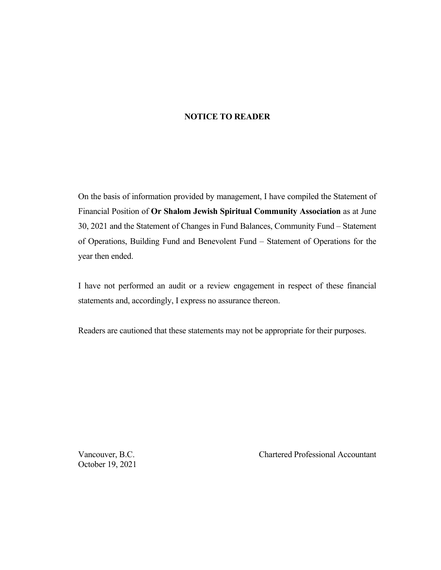#### **NOTICE TO READER**

On the basis of information provided by management, I have compiled the Statement of Financial Position of **Or Shalom Jewish Spiritual Community Association** as at June 30, 2021 and the Statement of Changes in Fund Balances, Community Fund – Statement of Operations, Building Fund and Benevolent Fund – Statement of Operations for the year then ended.

I have not performed an audit or a review engagement in respect of these financial statements and, accordingly, I express no assurance thereon.

Readers are cautioned that these statements may not be appropriate for their purposes.

October 19, 2021

Vancouver, B.C. Chartered Professional Accountant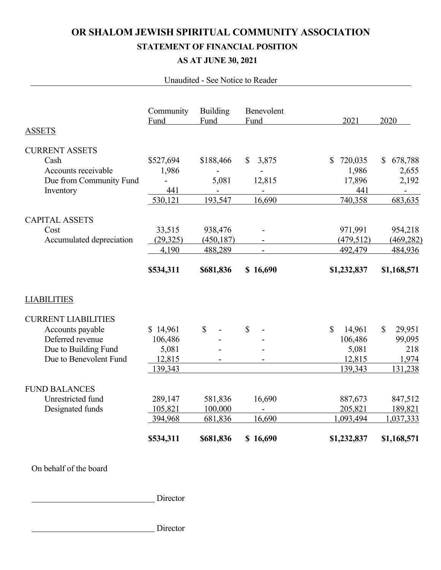# **OR SHALOM JEWISH SPIRITUAL COMMUNITY ASSOCIATION STATEMENT OF FINANCIAL POSITION AS AT JUNE 30, 2021**

#### Unaudited - See Notice to Reader

|                            | Community<br>Fund | <b>Building</b><br>Fund | Benevolent<br>Fund       | 2021                   | 2020                    |
|----------------------------|-------------------|-------------------------|--------------------------|------------------------|-------------------------|
| <b>ASSETS</b>              |                   |                         |                          |                        |                         |
| <b>CURRENT ASSETS</b>      |                   |                         |                          |                        |                         |
| Cash                       | \$527,694         | \$188,466               | 3,875<br>\$              | \$<br>720,035          | 678,788<br>$\mathbb{S}$ |
| Accounts receivable        | 1,986             |                         |                          | 1,986                  | 2,655                   |
| Due from Community Fund    |                   | 5,081                   | 12,815                   | 17,896                 | 2,192                   |
| Inventory                  | 441               |                         |                          | 441                    |                         |
|                            | 530,121           | 193,547                 | 16,690                   | 740,358                | 683,635                 |
| <b>CAPITAL ASSETS</b>      |                   |                         |                          |                        |                         |
| Cost                       | 33,515            | 938,476                 |                          | 971,991                | 954,218                 |
| Accumulated depreciation   | (29, 325)         | (450, 187)              | $\overline{\phantom{a}}$ | (479, 512)             | (469, 282)              |
|                            | 4,190             | 488,289                 | $\overline{a}$           | 492,479                | 484,936                 |
|                            | \$534,311         | \$681,836               | \$16,690                 | \$1,232,837            | \$1,168,571             |
| <b>LIABILITIES</b>         |                   |                         |                          |                        |                         |
| <b>CURRENT LIABILITIES</b> |                   |                         |                          |                        |                         |
| Accounts payable           | \$14,961          | \$                      | \$                       | $\mathbb{S}$<br>14,961 | 29,951<br>$\mathbb{S}$  |
| Deferred revenue           | 106,486           |                         |                          | 106,486                | 99,095                  |
| Due to Building Fund       | 5,081             |                         |                          | 5,081                  | 218                     |
| Due to Benevolent Fund     | 12,815            |                         |                          | 12,815                 | 1,974                   |
|                            | 139,343           |                         |                          | 139,343                | 131,238                 |
| <b>FUND BALANCES</b>       |                   |                         |                          |                        |                         |
| Unrestricted fund          | 289,147           | 581,836                 | 16,690                   | 887,673                | 847,512                 |
| Designated funds           | 105,821           | 100,000                 |                          | 205,821                | 189,821                 |
|                            | 394,968           | 681,836                 | 16,690                   | 1,093,494              | 1,037,333               |
|                            | \$534,311         | \$681,836               | \$16,690                 | \$1,232,837            | \$1,168,571             |
|                            |                   |                         |                          |                        |                         |

## On behalf of the board

Director

Director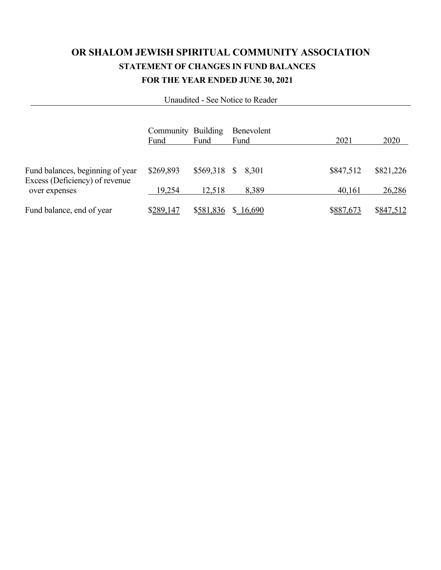# **OR SHALOM JEWISH SPIRITUAL COMMUNITY ASSOCIATION STATEMENT OF CHANGES IN FUND BALANCES FOR THE YEAR ENDED JUNE 30, 2021**

Unaudited - See Notice to Reader

|                                                                                     | Community Building<br>Fund | Fund                         | Benevolent<br>Fund | 2021                | 2020                |
|-------------------------------------------------------------------------------------|----------------------------|------------------------------|--------------------|---------------------|---------------------|
|                                                                                     |                            |                              |                    |                     |                     |
| Fund balances, beginning of year<br>Excess (Deficiency) of revenue<br>over expenses | \$269,893<br>19,254        | \$569,318 \$ 8,301<br>12,518 | 8,389              | \$847,512<br>40,161 | \$821,226<br>26,286 |
| Fund balance, end of year                                                           | \$289,147                  | \$581,836                    | \$16,690           | \$887,673           | \$847,512           |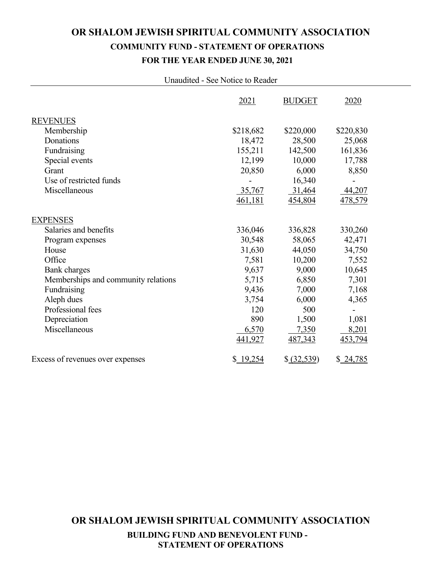# **OR SHALOM JEWISH SPIRITUAL COMMUNITY ASSOCIATION COMMUNITY FUND - STATEMENT OF OPERATIONS FOR THE YEAR ENDED JUNE 30, 2021**

#### Unaudited - See Notice to Reader

|                                     | 2021      | <b>BUDGET</b> | 2020      |
|-------------------------------------|-----------|---------------|-----------|
| <b>REVENUES</b>                     |           |               |           |
| Membership                          | \$218,682 | \$220,000     | \$220,830 |
| Donations                           | 18,472    | 28,500        | 25,068    |
| Fundraising                         | 155,211   | 142,500       | 161,836   |
| Special events                      | 12,199    | 10,000        | 17,788    |
| Grant                               | 20,850    | 6,000         | 8,850     |
| Use of restricted funds             |           | 16,340        |           |
| Miscellaneous                       | 35,767    | 31,464        | 44,207    |
|                                     | 461,181   | 454,804       | 478,579   |
| <b>EXPENSES</b>                     |           |               |           |
| Salaries and benefits               | 336,046   | 336,828       | 330,260   |
| Program expenses                    | 30,548    | 58,065        | 42,471    |
| House                               | 31,630    | 44,050        | 34,750    |
| Office                              | 7,581     | 10,200        | 7,552     |
| <b>Bank</b> charges                 | 9,637     | 9,000         | 10,645    |
| Memberships and community relations | 5,715     | 6,850         | 7,301     |
| Fundraising                         | 9,436     | 7,000         | 7,168     |
| Aleph dues                          | 3,754     | 6,000         | 4,365     |
| Professional fees                   | 120       | 500           |           |
| Depreciation                        | 890       | 1,500         | 1,081     |
| Miscellaneous                       | 6,570     | 7,350         | 8,201     |
|                                     | 441,927   | 487,343       | 453,794   |
| Excess of revenues over expenses    | \$19,254  | \$ (32,539)   | \$24,785  |

**OR SHALOM JEWISH SPIRITUAL COMMUNITY ASSOCIATION BUILDING FUND AND BENEVOLENT FUND - STATEMENT OF OPERATIONS**